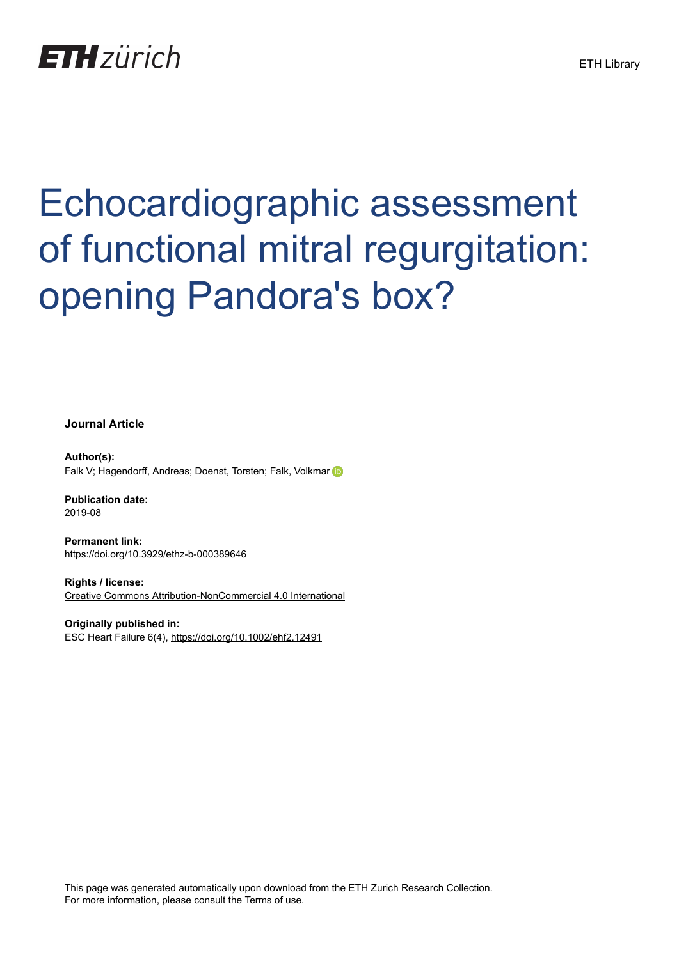## **ETH**zürich

# Echocardiographic assessment of functional mitral regurgitation: opening Pandora's box?

**Journal Article**

**Author(s):** Falk V; Hagendorff, Andreas; Doenst, Torsten; [Falk, Volkmar](https://orcid.org/0000-0002-7911-8620)

**Publication date:** 2019-08

**Permanent link:** <https://doi.org/10.3929/ethz-b-000389646>

**Rights / license:** [Creative Commons Attribution-NonCommercial 4.0 International](http://creativecommons.org/licenses/by-nc/4.0/)

**Originally published in:** ESC Heart Failure 6(4), <https://doi.org/10.1002/ehf2.12491>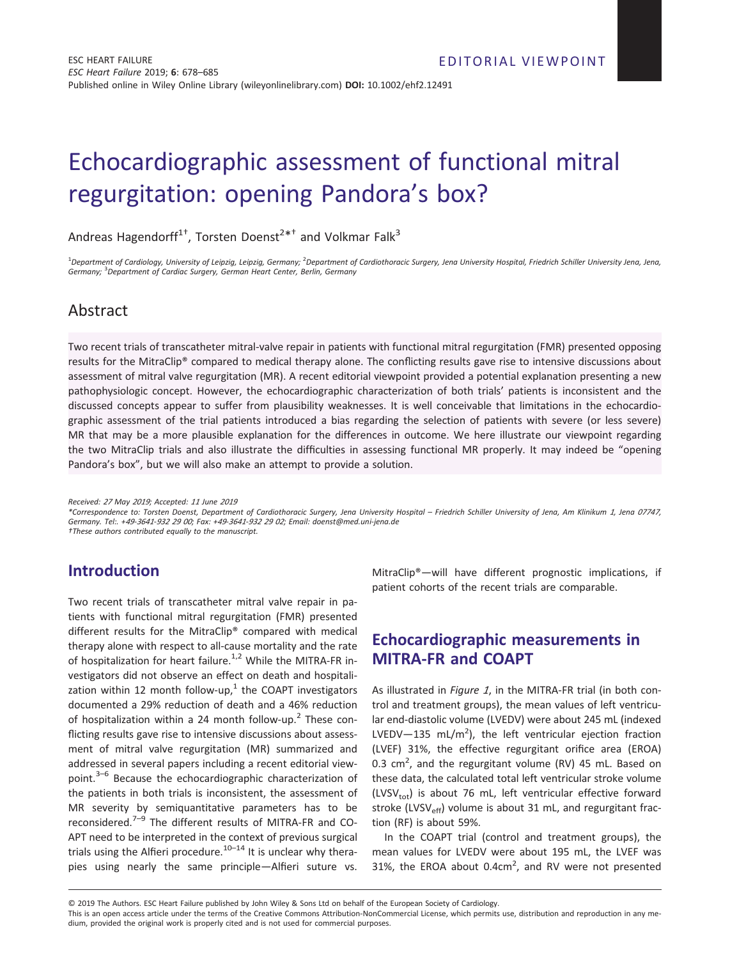### Echocardiographic assessment of functional mitral regurgitation: opening Pandora's box?

Andreas Hagendorff<sup>1†</sup>, Torsten Doenst<sup>2\*†</sup> and Volkmar Falk<sup>3</sup>

<sup>1</sup>Department of Cardiology, University of Leipzig, Leipzig, Germany; <sup>2</sup>Department of Cardiothoracic Surgery, Jena University Hospital, Friedrich Schiller University Jena, Jena, Germany; <sup>3</sup>Department of Cardiac Surgery, German Heart Center, Berlin, Germany

#### Abstract

Two recent trials of transcatheter mitral-valve repair in patients with functional mitral regurgitation (FMR) presented opposing results for the MitraClip® compared to medical therapy alone. The conflicting results gave rise to intensive discussions about assessment of mitral valve regurgitation (MR). A recent editorial viewpoint provided a potential explanation presenting a new pathophysiologic concept. However, the echocardiographic characterization of both trials' patients is inconsistent and the discussed concepts appear to suffer from plausibility weaknesses. It is well conceivable that limitations in the echocardiographic assessment of the trial patients introduced a bias regarding the selection of patients with severe (or less severe) MR that may be a more plausible explanation for the differences in outcome. We here illustrate our viewpoint regarding the two MitraClip trials and also illustrate the difficulties in assessing functional MR properly. It may indeed be "opening Pandora's box", but we will also make an attempt to provide a solution.

Received: <sup>27</sup> May <sup>2019</sup>; Accepted: <sup>11</sup> June <sup>2019</sup>

\*Correspondence to: Torsten Doenst, Department of Cardiothoracic Surgery, Jena University Hospital – Friedrich Schiller University of Jena, Am Klinikum <sup>1</sup>, Jena <sup>07747</sup>, Germany. Tel:. +49-3641-<sup>932</sup> <sup>29</sup> <sup>00</sup>; Fax: +49-3641-<sup>932</sup> <sup>29</sup> <sup>02</sup>; Email: doenst@med.uni-jena.de

†These authors contributed equally to the manuscript.

#### Introduction

Two recent trials of transcatheter mitral valve repair in patients with functional mitral regurgitation (FMR) presented different results for the MitraClip® compared with medical therapy alone with respect to all-cause mortality and the rate of hospitalization for heart failure.<sup>1,2</sup> While the MITRA-FR investigators did not observe an effect on death and hospitalization within 12 month follow-up, $<sup>1</sup>$  the COAPT investigators</sup> documented a 29% reduction of death and a 46% reduction of hospitalization within a 24 month follow-up.<sup>2</sup> These conflicting results gave rise to intensive discussions about assessment of mitral valve regurgitation (MR) summarized and addressed in several papers including a recent editorial viewpoint.3–<sup>6</sup> Because the echocardiographic characterization of the patients in both trials is inconsistent, the assessment of MR severity by semiquantitative parameters has to be reconsidered. $7-9$  The different results of MITRA-FR and CO-APT need to be interpreted in the context of previous surgical trials using the Alfieri procedure.<sup>10–14</sup> It is unclear why therapies using nearly the same principle—Alfieri suture vs.

MitraClip®—will have different prognostic implications, if patient cohorts of the recent trials are comparable.

#### Echocardiographic measurements in MITRA-FR and COAPT

As illustrated in Figure 1, in the MITRA-FR trial (in both control and treatment groups), the mean values of left ventricular end-diastolic volume (LVEDV) were about 245 mL (indexed LVEDV-135 mL/m<sup>2</sup>), the left ventricular ejection fraction (LVEF) 31%, the effective regurgitant orifice area (EROA) 0.3  $\text{cm}^2$ , and the regurgitant volume (RV) 45 mL. Based on these data, the calculated total left ventricular stroke volume (LVSV<sub>tot</sub>) is about 76 mL, left ventricular effective forward stroke (LVSV<sub>eff</sub>) volume is about 31 mL, and regurgitant fraction (RF) is about 59%.

In the COAPT trial (control and treatment groups), the mean values for LVEDV were about 195 mL, the LVEF was 31%, the EROA about  $0.4 \text{cm}^2$ , and RV were not presented

© 2019 The Authors. ESC Heart Failure published by John Wiley & Sons Ltd on behalf of the European Society of Cardiology.

This is an open access article under the terms of the Creative Commons Attribution-NonCommercial License, which permits use, distribution and reproduction in any medium, provided the original work is properly cited and is not used for commercial purposes.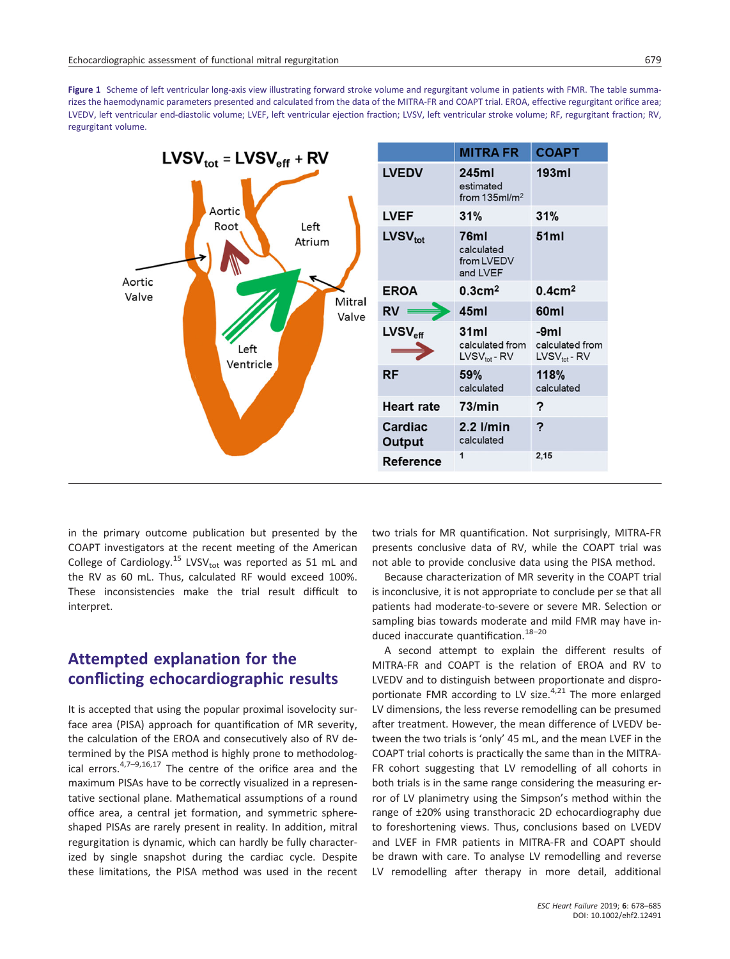Figure 1 Scheme of left ventricular long-axis view illustrating forward stroke volume and regurgitant volume in patients with FMR. The table summarizes the haemodynamic parameters presented and calculated from the data of the MITRA-FR and COAPT trial. EROA, effective regurgitant orifice area; LVEDV, left ventricular end-diastolic volume; LVEF, left ventricular ejection fraction; LVSV, left ventricular stroke volume; RF, regurgitant fraction; RV, regurgitant volume.



in the primary outcome publication but presented by the COAPT investigators at the recent meeting of the American College of Cardiology.<sup>15</sup> LVSV<sub>tot</sub> was reported as 51 mL and the RV as 60 mL. Thus, calculated RF would exceed 100%. These inconsistencies make the trial result difficult to interpret.

#### Attempted explanation for the conflicting echocardiographic results

It is accepted that using the popular proximal isovelocity surface area (PISA) approach for quantification of MR severity, the calculation of the EROA and consecutively also of RV determined by the PISA method is highly prone to methodological errors.  $4,7-9,16,17$  The centre of the orifice area and the maximum PISAs have to be correctly visualized in a representative sectional plane. Mathematical assumptions of a round office area, a central jet formation, and symmetric sphereshaped PISAs are rarely present in reality. In addition, mitral regurgitation is dynamic, which can hardly be fully characterized by single snapshot during the cardiac cycle. Despite these limitations, the PISA method was used in the recent two trials for MR quantification. Not surprisingly, MITRA-FR presents conclusive data of RV, while the COAPT trial was not able to provide conclusive data using the PISA method.

Because characterization of MR severity in the COAPT trial is inconclusive, it is not appropriate to conclude per se that all patients had moderate-to-severe or severe MR. Selection or sampling bias towards moderate and mild FMR may have induced inaccurate quantification.<sup>18-20</sup>

A second attempt to explain the different results of MITRA-FR and COAPT is the relation of EROA and RV to LVEDV and to distinguish between proportionate and disproportionate FMR according to LV size. $4,21$  The more enlarged LV dimensions, the less reverse remodelling can be presumed after treatment. However, the mean difference of LVEDV between the two trials is 'only' 45 mL, and the mean LVEF in the COAPT trial cohorts is practically the same than in the MITRA-FR cohort suggesting that LV remodelling of all cohorts in both trials is in the same range considering the measuring error of LV planimetry using the Simpson's method within the range of ±20% using transthoracic 2D echocardiography due to foreshortening views. Thus, conclusions based on LVEDV and LVEF in FMR patients in MITRA-FR and COAPT should be drawn with care. To analyse LV remodelling and reverse LV remodelling after therapy in more detail, additional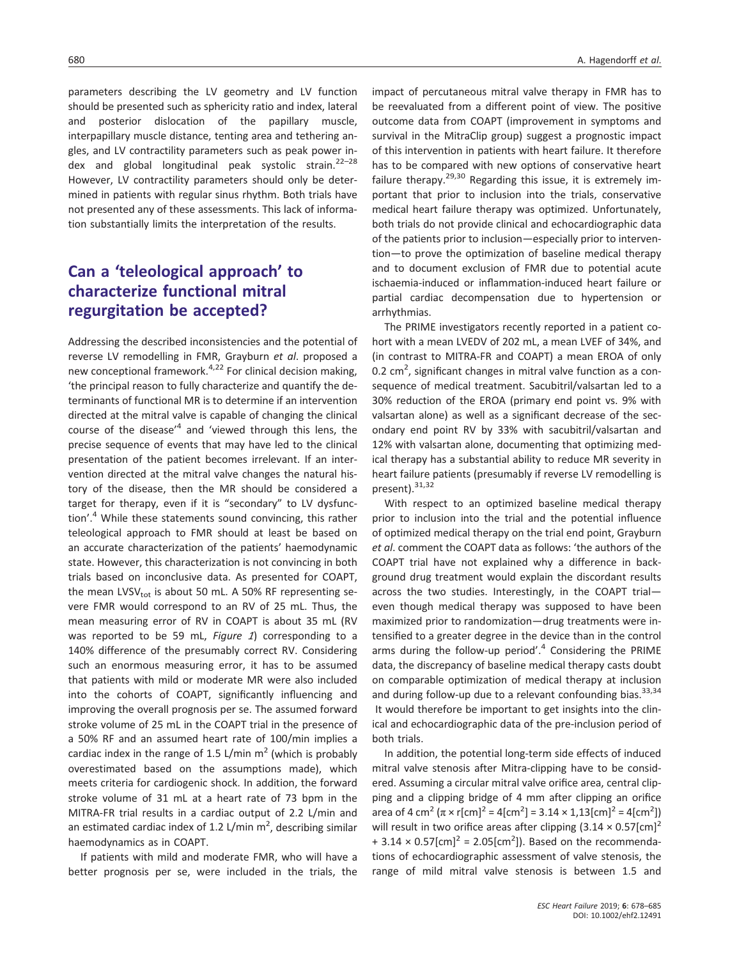parameters describing the LV geometry and LV function should be presented such as sphericity ratio and index, lateral and posterior dislocation of the papillary muscle, interpapillary muscle distance, tenting area and tethering angles, and LV contractility parameters such as peak power index and global longitudinal peak systolic strain.<sup>22-28</sup> However, LV contractility parameters should only be determined in patients with regular sinus rhythm. Both trials have not presented any of these assessments. This lack of information substantially limits the interpretation of the results.

#### Can a 'teleological approach' to characterize functional mitral regurgitation be accepted?

Addressing the described inconsistencies and the potential of reverse LV remodelling in FMR, Grayburn et al. proposed a new conceptional framework.<sup>4,22</sup> For clinical decision making, 'the principal reason to fully characterize and quantify the determinants of functional MR is to determine if an intervention directed at the mitral valve is capable of changing the clinical course of the disease<sup>'4</sup> and 'viewed through this lens, the precise sequence of events that may have led to the clinical presentation of the patient becomes irrelevant. If an intervention directed at the mitral valve changes the natural history of the disease, then the MR should be considered a target for therapy, even if it is "secondary" to LV dysfunction'.<sup>4</sup> While these statements sound convincing, this rather teleological approach to FMR should at least be based on an accurate characterization of the patients' haemodynamic state. However, this characterization is not convincing in both trials based on inconclusive data. As presented for COAPT, the mean LVSV $_{\text{tot}}$  is about 50 mL. A 50% RF representing severe FMR would correspond to an RV of 25 mL. Thus, the mean measuring error of RV in COAPT is about 35 mL (RV was reported to be 59 mL, Figure  $1$ ) corresponding to a 140% difference of the presumably correct RV. Considering such an enormous measuring error, it has to be assumed that patients with mild or moderate MR were also included into the cohorts of COAPT, significantly influencing and improving the overall prognosis per se. The assumed forward stroke volume of 25 mL in the COAPT trial in the presence of a 50% RF and an assumed heart rate of 100/min implies a cardiac index in the range of 1.5 L/min  $m<sup>2</sup>$  (which is probably overestimated based on the assumptions made), which meets criteria for cardiogenic shock. In addition, the forward stroke volume of 31 mL at a heart rate of 73 bpm in the MITRA-FR trial results in a cardiac output of 2.2 L/min and an estimated cardiac index of 1.2 L/min  $m^2$ , describing similar haemodynamics as in COAPT.

If patients with mild and moderate FMR, who will have a better prognosis per se, were included in the trials, the

impact of percutaneous mitral valve therapy in FMR has to be reevaluated from a different point of view. The positive outcome data from COAPT (improvement in symptoms and survival in the MitraClip group) suggest a prognostic impact of this intervention in patients with heart failure. It therefore has to be compared with new options of conservative heart failure therapy.<sup>29,30</sup> Regarding this issue, it is extremely important that prior to inclusion into the trials, conservative medical heart failure therapy was optimized. Unfortunately, both trials do not provide clinical and echocardiographic data of the patients prior to inclusion—especially prior to intervention—to prove the optimization of baseline medical therapy and to document exclusion of FMR due to potential acute ischaemia-induced or inflammation-induced heart failure or

The PRIME investigators recently reported in a patient cohort with a mean LVEDV of 202 mL, a mean LVEF of 34%, and (in contrast to MITRA-FR and COAPT) a mean EROA of only  $0.2 \text{ cm}^2$ , significant changes in mitral valve function as a consequence of medical treatment. Sacubitril/valsartan led to a 30% reduction of the EROA (primary end point vs. 9% with valsartan alone) as well as a significant decrease of the secondary end point RV by 33% with sacubitril/valsartan and 12% with valsartan alone, documenting that optimizing medical therapy has a substantial ability to reduce MR severity in heart failure patients (presumably if reverse LV remodelling is present). 31,32

partial cardiac decompensation due to hypertension or

arrhythmias.

With respect to an optimized baseline medical therapy prior to inclusion into the trial and the potential influence of optimized medical therapy on the trial end point, Grayburn et al. comment the COAPT data as follows: 'the authors of the COAPT trial have not explained why a difference in background drug treatment would explain the discordant results across the two studies. Interestingly, in the COAPT trial even though medical therapy was supposed to have been maximized prior to randomization—drug treatments were intensified to a greater degree in the device than in the control arms during the follow-up period'.<sup>4</sup> Considering the PRIME data, the discrepancy of baseline medical therapy casts doubt on comparable optimization of medical therapy at inclusion and during follow-up due to a relevant confounding bias.  $33,34$ It would therefore be important to get insights into the clinical and echocardiographic data of the pre-inclusion period of both trials.

In addition, the potential long-term side effects of induced mitral valve stenosis after Mitra-clipping have to be considered. Assuming a circular mitral valve orifice area, central clipping and a clipping bridge of 4 mm after clipping an orifice area of 4 cm<sup>2</sup> ( $\pi$  × r[cm]<sup>2</sup> = 4[cm<sup>2</sup>] = 3.14 × 1,13[cm]<sup>2</sup> = 4[cm<sup>2</sup>]) will result in two orifice areas after clipping  $(3.14 \times 0.57$ [cm]<sup>2</sup>  $+3.14 \times 0.57$ [cm]<sup>2</sup> = 2.05[cm<sup>2</sup>]). Based on the recommendations of echocardiographic assessment of valve stenosis, the range of mild mitral valve stenosis is between 1.5 and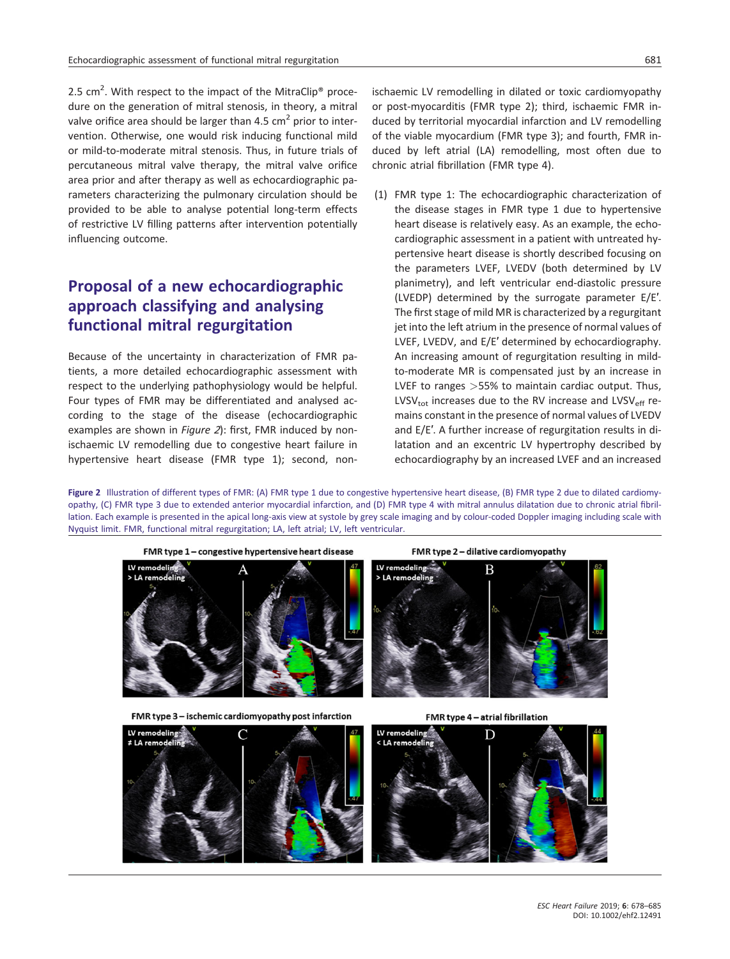2.5 cm<sup>2</sup>. With respect to the impact of the MitraClip<sup>®</sup> procedure on the generation of mitral stenosis, in theory, a mitral valve orifice area should be larger than 4.5  $\text{cm}^2$  prior to intervention. Otherwise, one would risk inducing functional mild or mild-to-moderate mitral stenosis. Thus, in future trials of percutaneous mitral valve therapy, the mitral valve orifice area prior and after therapy as well as echocardiographic parameters characterizing the pulmonary circulation should be provided to be able to analyse potential long-term effects of restrictive LV filling patterns after intervention potentially influencing outcome.

#### Proposal of a new echocardiographic approach classifying and analysing functional mitral regurgitation

Because of the uncertainty in characterization of FMR patients, a more detailed echocardiographic assessment with respect to the underlying pathophysiology would be helpful. Four types of FMR may be differentiated and analysed according to the stage of the disease (echocardiographic examples are shown in Figure 2): first, FMR induced by nonischaemic LV remodelling due to congestive heart failure in hypertensive heart disease (FMR type 1); second, nonischaemic LV remodelling in dilated or toxic cardiomyopathy or post-myocarditis (FMR type 2); third, ischaemic FMR induced by territorial myocardial infarction and LV remodelling of the viable myocardium (FMR type 3); and fourth, FMR induced by left atrial (LA) remodelling, most often due to chronic atrial fibrillation (FMR type 4).

(1) FMR type 1: The echocardiographic characterization of the disease stages in FMR type 1 due to hypertensive heart disease is relatively easy. As an example, the echocardiographic assessment in a patient with untreated hypertensive heart disease is shortly described focusing on the parameters LVEF, LVEDV (both determined by LV planimetry), and left ventricular end-diastolic pressure (LVEDP) determined by the surrogate parameter E/E′. The first stage of mild MR is characterized by a regurgitant jet into the left atrium in the presence of normal values of LVEF, LVEDV, and E/E′ determined by echocardiography. An increasing amount of regurgitation resulting in mildto-moderate MR is compensated just by an increase in LVEF to ranges >55% to maintain cardiac output. Thus, LVSV<sub>tot</sub> increases due to the RV increase and LVSV<sub>eff</sub> remains constant in the presence of normal values of LVEDV and E/E′. A further increase of regurgitation results in dilatation and an excentric LV hypertrophy described by echocardiography by an increased LVEF and an increased

Figure 2 Illustration of different types of FMR: (A) FMR type 1 due to congestive hypertensive heart disease, (B) FMR type 2 due to dilated cardiomyopathy, (C) FMR type 3 due to extended anterior myocardial infarction, and (D) FMR type 4 with mitral annulus dilatation due to chronic atrial fibrillation. Each example is presented in the apical long-axis view at systole by grey scale imaging and by colour-coded Doppler imaging including scale with Nyquist limit. FMR, functional mitral regurgitation; LA, left atrial; LV, left ventricular.



FMR type 3 - ischemic cardiomyopathy post infarction

LV remodeling

 $LA$  remo

FMR type 4 - atrial fibrillation

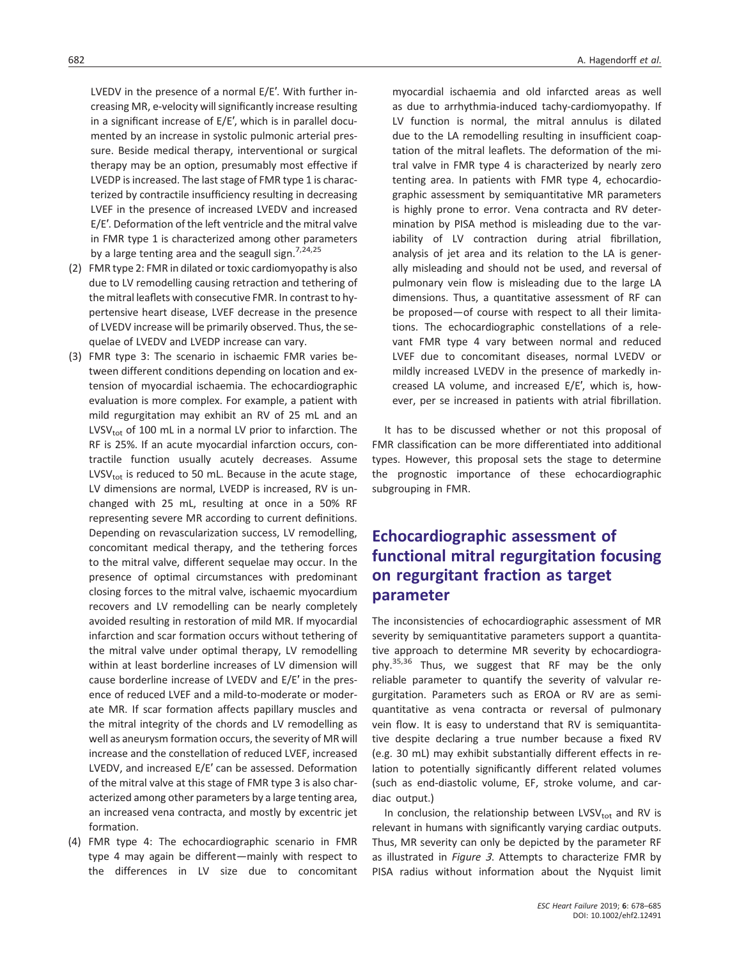LVEDV in the presence of a normal E/E′. With further increasing MR, e-velocity will significantly increase resulting in a significant increase of E/E′, which is in parallel documented by an increase in systolic pulmonic arterial pressure. Beside medical therapy, interventional or surgical therapy may be an option, presumably most effective if LVEDP is increased. The last stage of FMR type 1 is characterized by contractile insufficiency resulting in decreasing LVEF in the presence of increased LVEDV and increased E/E′. Deformation of the left ventricle and the mitral valve in FMR type 1 is characterized among other parameters by a large tenting area and the seagull sign.<sup>7,24,25</sup>

- (2) FMR type 2: FMR in dilated or toxic cardiomyopathy is also due to LV remodelling causing retraction and tethering of the mitral leaflets with consecutive FMR. In contrast to hypertensive heart disease, LVEF decrease in the presence of LVEDV increase will be primarily observed. Thus, the sequelae of LVEDV and LVEDP increase can vary.
- (3) FMR type 3: The scenario in ischaemic FMR varies between different conditions depending on location and extension of myocardial ischaemia. The echocardiographic evaluation is more complex. For example, a patient with mild regurgitation may exhibit an RV of 25 mL and an  $LVSV_{\text{tot}}$  of 100 mL in a normal LV prior to infarction. The RF is 25%. If an acute myocardial infarction occurs, contractile function usually acutely decreases. Assume LVSV $_{\text{tot}}$  is reduced to 50 mL. Because in the acute stage, LV dimensions are normal, LVEDP is increased, RV is unchanged with 25 mL, resulting at once in a 50% RF representing severe MR according to current definitions. Depending on revascularization success, LV remodelling, concomitant medical therapy, and the tethering forces to the mitral valve, different sequelae may occur. In the presence of optimal circumstances with predominant closing forces to the mitral valve, ischaemic myocardium recovers and LV remodelling can be nearly completely avoided resulting in restoration of mild MR. If myocardial infarction and scar formation occurs without tethering of the mitral valve under optimal therapy, LV remodelling within at least borderline increases of LV dimension will cause borderline increase of LVEDV and E/E′ in the presence of reduced LVEF and a mild-to-moderate or moderate MR. If scar formation affects papillary muscles and the mitral integrity of the chords and LV remodelling as well as aneurysm formation occurs, the severity of MR will increase and the constellation of reduced LVEF, increased LVEDV, and increased E/E′ can be assessed. Deformation of the mitral valve at this stage of FMR type 3 is also characterized among other parameters by a large tenting area, an increased vena contracta, and mostly by excentric jet formation.
- (4) FMR type 4: The echocardiographic scenario in FMR type 4 may again be different—mainly with respect to the differences in LV size due to concomitant

myocardial ischaemia and old infarcted areas as well as due to arrhythmia-induced tachy-cardiomyopathy. If LV function is normal, the mitral annulus is dilated due to the LA remodelling resulting in insufficient coaptation of the mitral leaflets. The deformation of the mitral valve in FMR type 4 is characterized by nearly zero tenting area. In patients with FMR type 4, echocardiographic assessment by semiquantitative MR parameters is highly prone to error. Vena contracta and RV determination by PISA method is misleading due to the variability of LV contraction during atrial fibrillation, analysis of jet area and its relation to the LA is generally misleading and should not be used, and reversal of pulmonary vein flow is misleading due to the large LA dimensions. Thus, a quantitative assessment of RF can be proposed—of course with respect to all their limitations. The echocardiographic constellations of a relevant FMR type 4 vary between normal and reduced LVEF due to concomitant diseases, normal LVEDV or mildly increased LVEDV in the presence of markedly increased LA volume, and increased E/E′, which is, however, per se increased in patients with atrial fibrillation.

It has to be discussed whether or not this proposal of FMR classification can be more differentiated into additional types. However, this proposal sets the stage to determine the prognostic importance of these echocardiographic subgrouping in FMR.

#### Echocardiographic assessment of functional mitral regurgitation focusing on regurgitant fraction as target parameter

The inconsistencies of echocardiographic assessment of MR severity by semiquantitative parameters support a quantitative approach to determine MR severity by echocardiography.<sup>35,36</sup> Thus, we suggest that RF may be the only reliable parameter to quantify the severity of valvular regurgitation. Parameters such as EROA or RV are as semiquantitative as vena contracta or reversal of pulmonary vein flow. It is easy to understand that RV is semiquantitative despite declaring a true number because a fixed RV (e.g. 30 mL) may exhibit substantially different effects in relation to potentially significantly different related volumes (such as end-diastolic volume, EF, stroke volume, and cardiac output.)

In conclusion, the relationship between LVSV $_{\text{tot}}$  and RV is relevant in humans with significantly varying cardiac outputs. Thus, MR severity can only be depicted by the parameter RF as illustrated in Figure <sup>3</sup>. Attempts to characterize FMR by PISA radius without information about the Nyquist limit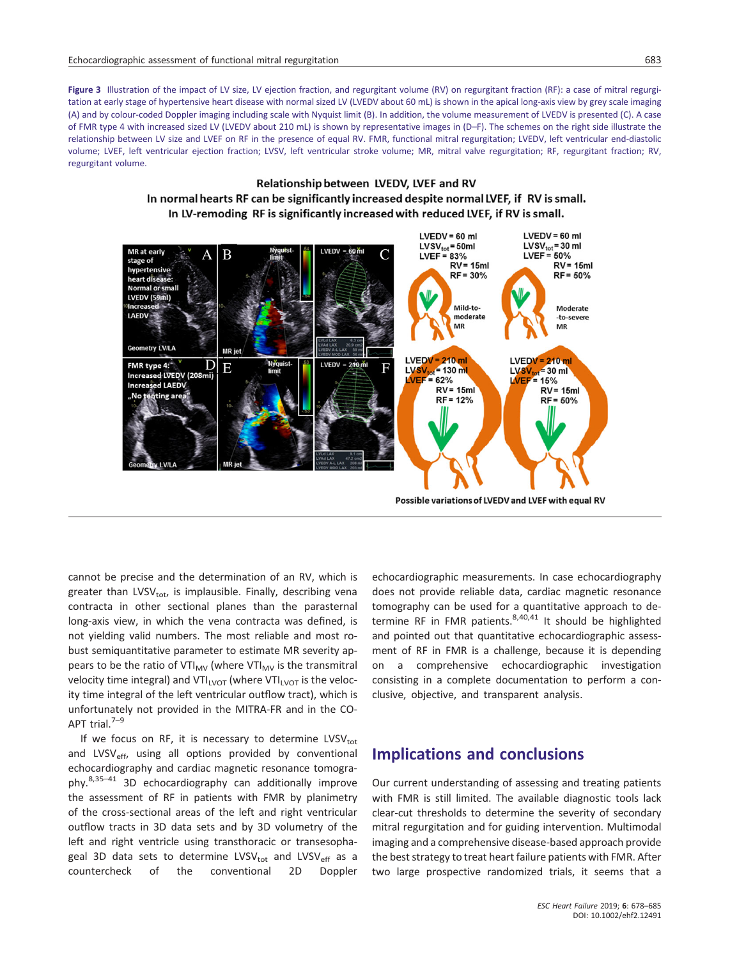Figure 3 Illustration of the impact of LV size, LV ejection fraction, and regurgitant volume (RV) on regurgitant fraction (RF): a case of mitral regurgitation at early stage of hypertensive heart disease with normal sized LV (LVEDV about 60 mL) is shown in the apical long-axis view by grey scale imaging (A) and by colour-coded Doppler imaging including scale with Nyquist limit (B). In addition, the volume measurement of LVEDV is presented (C). A case of FMR type 4 with increased sized LV (LVEDV about 210 mL) is shown by representative images in (D–F). The schemes on the right side illustrate the relationship between LV size and LVEF on RF in the presence of equal RV. FMR, functional mitral regurgitation; LVEDV, left ventricular end-diastolic volume; LVEF, left ventricular ejection fraction; LVSV, left ventricular stroke volume; MR, mitral valve regurgitation; RF, regurgitant fraction; RV, regurgitant volume.

#### Relationship between LVEDV, LVEF and RV In normal hearts RF can be significantly increased despite normal LVEF, if RV is small. In LV-remoding RF is significantly increased with reduced LVEF, if RV is small.



Possible variations of LVEDV and LVEF with equal RV

cannot be precise and the determination of an RV, which is greater than LVSV<sub>tot</sub>, is implausible. Finally, describing vena contracta in other sectional planes than the parasternal long-axis view, in which the vena contracta was defined, is not yielding valid numbers. The most reliable and most robust semiquantitative parameter to estimate MR severity appears to be the ratio of VTI $_{MV}$  (where VTI $_{MV}$  is the transmitral velocity time integral) and VTI<sub>LVOT</sub> (where VTI<sub>LVOT</sub> is the velocity time integral of the left ventricular outflow tract), which is unfortunately not provided in the MITRA-FR and in the CO-APT trial. $7-9$ 

If we focus on RF, it is necessary to determine LVSVtot and LVSV<sub>eff</sub>, using all options provided by conventional echocardiography and cardiac magnetic resonance tomography.8,35–<sup>41</sup> 3D echocardiography can additionally improve the assessment of RF in patients with FMR by planimetry of the cross-sectional areas of the left and right ventricular outflow tracts in 3D data sets and by 3D volumetry of the left and right ventricle using transthoracic or transesophageal 3D data sets to determine LVSV<sub>tot</sub> and LVSV<sub>eff</sub> as a countercheck of the conventional 2D Doppler

echocardiographic measurements. In case echocardiography does not provide reliable data, cardiac magnetic resonance tomography can be used for a quantitative approach to determine RF in FMR patients.  $8,40,41$  It should be highlighted and pointed out that quantitative echocardiographic assessment of RF in FMR is a challenge, because it is depending on a comprehensive echocardiographic investigation consisting in a complete documentation to perform a conclusive, objective, and transparent analysis.

#### Implications and conclusions

Our current understanding of assessing and treating patients with FMR is still limited. The available diagnostic tools lack clear-cut thresholds to determine the severity of secondary mitral regurgitation and for guiding intervention. Multimodal imaging and a comprehensive disease-based approach provide the best strategy to treat heart failure patients with FMR. After two large prospective randomized trials, it seems that a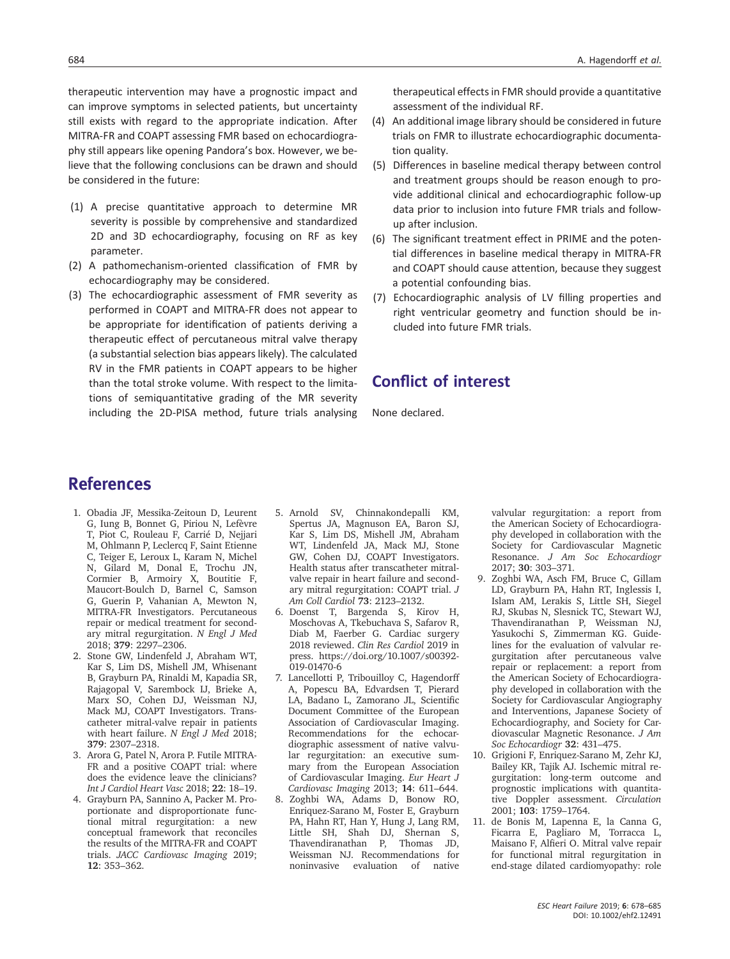therapeutic intervention may have a prognostic impact and can improve symptoms in selected patients, but uncertainty still exists with regard to the appropriate indication. After MITRA-FR and COAPT assessing FMR based on echocardiography still appears like opening Pandora's box. However, we believe that the following conclusions can be drawn and should be considered in the future:

- (1) A precise quantitative approach to determine MR severity is possible by comprehensive and standardized 2D and 3D echocardiography, focusing on RF as key parameter.
- (2) A pathomechanism-oriented classification of FMR by echocardiography may be considered.
- (3) The echocardiographic assessment of FMR severity as performed in COAPT and MITRA-FR does not appear to be appropriate for identification of patients deriving a therapeutic effect of percutaneous mitral valve therapy (a substantial selection bias appears likely). The calculated RV in the FMR patients in COAPT appears to be higher than the total stroke volume. With respect to the limitations of semiquantitative grading of the MR severity including the 2D-PISA method, future trials analysing

therapeutical effects in FMR should provide a quantitative assessment of the individual RF.

- (4) An additional image library should be considered in future trials on FMR to illustrate echocardiographic documentation quality.
- (5) Differences in baseline medical therapy between control and treatment groups should be reason enough to provide additional clinical and echocardiographic follow-up data prior to inclusion into future FMR trials and followup after inclusion.
- (6) The significant treatment effect in PRIME and the potential differences in baseline medical therapy in MITRA-FR and COAPT should cause attention, because they suggest a potential confounding bias.
- (7) Echocardiographic analysis of LV filling properties and right ventricular geometry and function should be included into future FMR trials.

#### Conflict of interest

None declared.

#### References

- 1. Obadia JF, Messika-Zeitoun D, Leurent G, Iung B, Bonnet G, Piriou N, Lefèvre T, Piot C, Rouleau F, Carrié D, Nejjari M, Ohlmann P, Leclercq F, Saint Etienne C, Teiger E, Leroux L, Karam N, Michel N, Gilard M, Donal E, Trochu JN, Cormier B, Armoiry X, Boutitie F, Maucort-Boulch D, Barnel C, Samson G, Guerin P, Vahanian A, Mewton N, MITRA-FR Investigators. Percutaneous repair or medical treatment for secondary mitral regurgitation. N Engl J Med 2018; 379: 2297–2306.
- 2. Stone GW, Lindenfeld J, Abraham WT, Kar S, Lim DS, Mishell JM, Whisenant B, Grayburn PA, Rinaldi M, Kapadia SR, Rajagopal V, Sarembock IJ, Brieke A, Marx SO, Cohen DJ, Weissman NJ, Mack MJ, COAPT Investigators. Transcatheter mitral-valve repair in patients with heart failure. N Engl J Med 2018; 379: 2307–2318.
- 3. Arora G, Patel N, Arora P. Futile MITRA-FR and a positive COAPT trial: where does the evidence leave the clinicians? Int J Cardiol Heart Vasc 2018; 22: 18–19.
- 4. Grayburn PA, Sannino A, Packer M. Proportionate and disproportionate functional mitral regurgitation: a new conceptual framework that reconciles the results of the MITRA-FR and COAPT trials. JACC Cardiovasc Imaging 2019; 12: 353–362.
- 5. Arnold SV, Chinnakondepalli KM, Spertus JA, Magnuson EA, Baron SJ, Kar S, Lim DS, Mishell JM, Abraham WT, Lindenfeld JA, Mack MJ, Stone GW, Cohen DJ, COAPT Investigators. Health status after transcatheter mitralvalve repair in heart failure and secondary mitral regurgitation: COAPT trial. J Am Coll Cardiol 73: 2123–2132.
- 6. Doenst T, Bargenda S, Kirov H, Moschovas A, Tkebuchava S, Safarov R, Diab M, Faerber G. Cardiac surgery 2018 reviewed. Clin Res Cardiol 2019 in press. [https://doi.org/10.1007/s00392-](https://doi.org/10.1007/s00392-019-01470-6) [019-01470-6](https://doi.org/10.1007/s00392-019-01470-6)
- 7. Lancellotti P, Tribouilloy C, Hagendorff A, Popescu BA, Edvardsen T, Pierard LA, Badano L, Zamorano JL, Scientific Document Committee of the European Association of Cardiovascular Imaging. Recommendations for the echocardiographic assessment of native valvular regurgitation: an executive summary from the European Association of Cardiovascular Imaging. Eur Heart J Cardiovasc Imaging 2013; 14: 611–644.
- 8. Zoghbi WA, Adams D, Bonow RO, Enriquez-Sarano M, Foster E, Grayburn PA, Hahn RT, Han Y, Hung J, Lang RM, Little SH, Shah DJ, Shernan S,<br>Thavendiranathan P, Thomas JD, Thavendiranathan P, Weissman NJ. Recommendations for noninvasive evaluation of native

valvular regurgitation: a report from the American Society of Echocardiography developed in collaboration with the Society for Cardiovascular Magnetic Resonance. J Am Soc Echocardiogr 2017; 30: 303–371.

- 9. Zoghbi WA, Asch FM, Bruce C, Gillam LD, Grayburn PA, Hahn RT, Inglessis I, Islam AM, Lerakis S, Little SH, Siegel RJ, Skubas N, Slesnick TC, Stewart WJ, Thavendiranathan P, Weissman NJ, Yasukochi S, Zimmerman KG. Guidelines for the evaluation of valvular regurgitation after percutaneous valve repair or replacement: a report from the American Society of Echocardiography developed in collaboration with the Society for Cardiovascular Angiography and Interventions, Japanese Society of Echocardiography, and Society for Cardiovascular Magnetic Resonance. J Am Soc Echocardiogr 32: 431–475.
- 10. Grigioni F, Enriquez-Sarano M, Zehr KJ, Bailey KR, Tajik AJ. Ischemic mitral regurgitation: long-term outcome and prognostic implications with quantitative Doppler assessment. Circulation 2001; 103: 1759–1764.
- 11. de Bonis M, Lapenna E, la Canna G, Ficarra E, Pagliaro M, Torracca L, Maisano F, Alfieri O. Mitral valve repair for functional mitral regurgitation in end-stage dilated cardiomyopathy: role